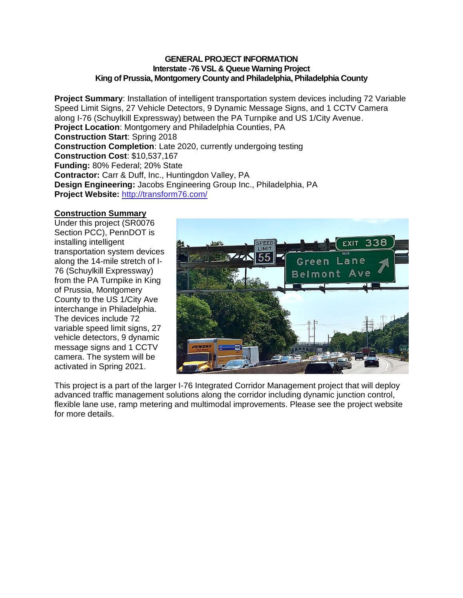### **GENERAL PROJECT INFORMATION Interstate -76 VSL & Queue Warning Project King of Prussia, Montgomery County and Philadelphia, Philadelphia County**

**Project Summary**: Installation of intelligent transportation system devices including 72 Variable Speed Limit Signs, 27 Vehicle Detectors, 9 Dynamic Message Signs, and 1 CCTV Camera along I-76 (Schuylkill Expressway) between the PA Turnpike and US 1/City Avenue. **Project Location**: Montgomery and Philadelphia Counties, PA **Construction Start**: Spring 2018 **Construction Completion**: Late 2020, currently undergoing testing **Construction Cost**: \$10,537,167 **Funding:** 80% Federal; 20% State **Contractor:** Carr & Duff, Inc., Huntingdon Valley, PA **Design Engineering:** Jacobs Engineering Group Inc., Philadelphia, PA **Project Website:** <http://transform76.com/>

## **Construction Summary**

Under this project (SR0076 Section PCC), PennDOT is installing intelligent transportation system devices along the 14-mile stretch of I-76 (Schuylkill Expressway) from the PA Turnpike in King of Prussia, Montgomery County to the US 1/City Ave interchange in Philadelphia. The devices include 72 variable speed limit signs, 27 vehicle detectors, 9 dynamic message signs and 1 CCTV camera. The system will be activated in Spring 2021.



This project is a part of the larger I-76 Integrated Corridor Management project that will deploy advanced traffic management solutions along the corridor including dynamic junction control, flexible lane use, ramp metering and multimodal improvements. Please see the project website for more details.